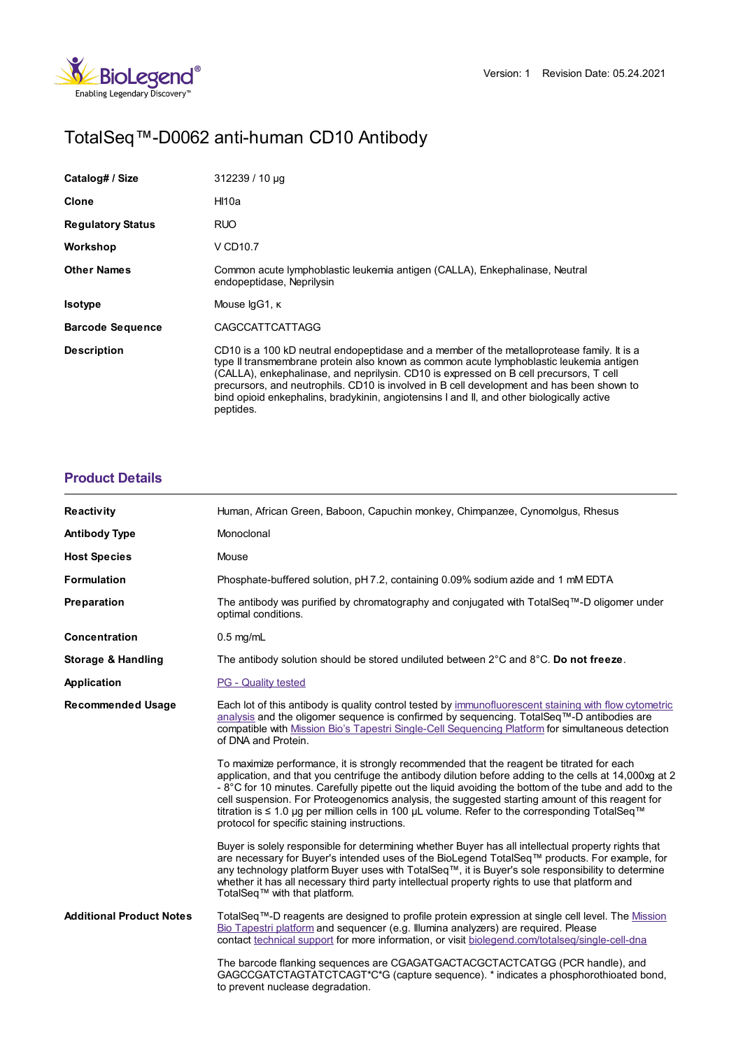

# TotalSeq™-D0062 anti-human CD10 Antibody

| Catalog# / Size          | $312239/10 \mu q$                                                                                                                                                                                                                                                                                                                                                                                                                                                                      |
|--------------------------|----------------------------------------------------------------------------------------------------------------------------------------------------------------------------------------------------------------------------------------------------------------------------------------------------------------------------------------------------------------------------------------------------------------------------------------------------------------------------------------|
| Clone                    | Hl10a                                                                                                                                                                                                                                                                                                                                                                                                                                                                                  |
| <b>Regulatory Status</b> | <b>RUO</b>                                                                                                                                                                                                                                                                                                                                                                                                                                                                             |
| Workshop                 | V CD <sub>10.7</sub>                                                                                                                                                                                                                                                                                                                                                                                                                                                                   |
| <b>Other Names</b>       | Common acute lymphoblastic leukemia antigen (CALLA), Enkephalinase, Neutral<br>endopeptidase, Neprilysin                                                                                                                                                                                                                                                                                                                                                                               |
| <b>Isotype</b>           | Mouse IgG1, K                                                                                                                                                                                                                                                                                                                                                                                                                                                                          |
| <b>Barcode Sequence</b>  | <b>CAGCCATTCATTAGG</b>                                                                                                                                                                                                                                                                                                                                                                                                                                                                 |
| <b>Description</b>       | CD10 is a 100 kD neutral endopeptidase and a member of the metalloprotease family. It is a<br>type II transmembrane protein also known as common acute lymphoblastic leukemia antigen<br>(CALLA), enkephalinase, and neprilysin. CD10 is expressed on B cell precursors, T cell<br>precursors, and neutrophils. CD10 is involved in B cell development and has been shown to<br>bind opioid enkephalins, bradykinin, angiotensins I and II, and other biologically active<br>peptides. |

## **[Product](https://www.biolegend.com/de-at/products/totalseq-d0062-anti-human-cd10-antibody-20862?pdf=true&displayInline=true&leftRightMargin=15&topBottomMargin=15&filename=TotalSeq%EF%BF%BD%EF%BF%BD%EF%BF%BD-D0062 anti-human CD10 Antibody.pdf#productDetails) Details**

| <b>Reactivity</b>               | Human, African Green, Baboon, Capuchin monkey, Chimpanzee, Cynomolgus, Rhesus                                                                                                                                                                                                                                                                                                                                                                                                                                                                                               |
|---------------------------------|-----------------------------------------------------------------------------------------------------------------------------------------------------------------------------------------------------------------------------------------------------------------------------------------------------------------------------------------------------------------------------------------------------------------------------------------------------------------------------------------------------------------------------------------------------------------------------|
| <b>Antibody Type</b>            | Monoclonal                                                                                                                                                                                                                                                                                                                                                                                                                                                                                                                                                                  |
| <b>Host Species</b>             | Mouse                                                                                                                                                                                                                                                                                                                                                                                                                                                                                                                                                                       |
| <b>Formulation</b>              | Phosphate-buffered solution, pH 7.2, containing 0.09% sodium azide and 1 mM EDTA                                                                                                                                                                                                                                                                                                                                                                                                                                                                                            |
| Preparation                     | The antibody was purified by chromatography and conjugated with TotalSeq™-D oligomer under<br>optimal conditions.                                                                                                                                                                                                                                                                                                                                                                                                                                                           |
| Concentration                   | $0.5$ mg/mL                                                                                                                                                                                                                                                                                                                                                                                                                                                                                                                                                                 |
| Storage & Handling              | The antibody solution should be stored undiluted between $2^{\circ}$ C and $8^{\circ}$ C. Do not freeze.                                                                                                                                                                                                                                                                                                                                                                                                                                                                    |
| Application                     | <b>PG</b> - Quality tested                                                                                                                                                                                                                                                                                                                                                                                                                                                                                                                                                  |
| <b>Recommended Usage</b>        | Each lot of this antibody is quality control tested by immunofluorescent staining with flow cytometric<br>analysis and the oligomer sequence is confirmed by sequencing. TotalSeq™-D antibodies are<br>compatible with Mission Bio's Tapestri Single-Cell Sequencing Platform for simultaneous detection<br>of DNA and Protein.                                                                                                                                                                                                                                             |
|                                 | To maximize performance, it is strongly recommended that the reagent be titrated for each<br>application, and that you centrifuge the antibody dilution before adding to the cells at 14,000xg at 2<br>- $8^{\circ}$ C for 10 minutes. Carefully pipette out the liquid avoiding the bottom of the tube and add to the<br>cell suspension. For Proteogenomics analysis, the suggested starting amount of this reagent for<br>titration is ≤ 1.0 µg per million cells in 100 µL volume. Refer to the corresponding TotalSeq™<br>protocol for specific staining instructions. |
|                                 | Buyer is solely responsible for determining whether Buyer has all intellectual property rights that<br>are necessary for Buyer's intended uses of the BioLegend TotalSeq™ products. For example, for<br>any technology platform Buyer uses with TotalSeq™, it is Buyer's sole responsibility to determine<br>whether it has all necessary third party intellectual property rights to use that platform and<br>TotalSeq™ with that platform.                                                                                                                                |
| <b>Additional Product Notes</b> | TotalSeq™-D reagents are designed to profile protein expression at single cell level. The Mission<br>Bio Tapestri platform and sequencer (e.g. Illumina analyzers) are required. Please<br>contact technical support for more information, or visit biolegend.com/totalseg/single-cell-dna                                                                                                                                                                                                                                                                                  |
|                                 | The barcode flanking sequences are CGAGATGACTACGCTACTCATGG (PCR handle), and<br>GAGCCGATCTAGTATCTCAGT*C*G (capture sequence). * indicates a phosphorothioated bond,<br>to prevent nuclease degradation.                                                                                                                                                                                                                                                                                                                                                                     |